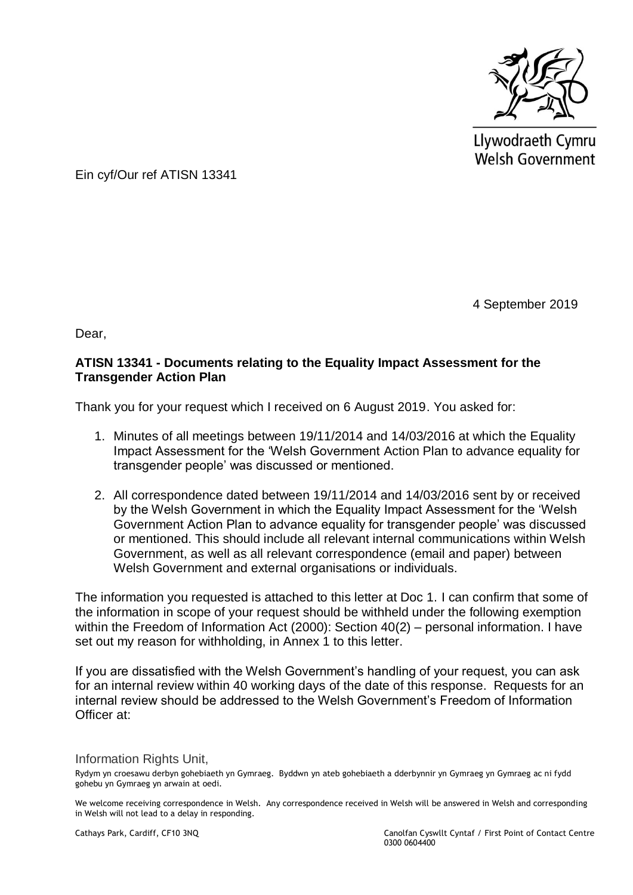

Llywodraeth Cymru **Welsh Government** 

Ein cyf/Our ref ATISN 13341

4 September 2019

Dear,

# **ATISN 13341 - Documents relating to the Equality Impact Assessment for the Transgender Action Plan**

Thank you for your request which I received on 6 August 2019. You asked for:

- 1. Minutes of all meetings between 19/11/2014 and 14/03/2016 at which the Equality Impact Assessment for the 'Welsh Government Action Plan to advance equality for transgender people' was discussed or mentioned.
- 2. All correspondence dated between 19/11/2014 and 14/03/2016 sent by or received by the Welsh Government in which the Equality Impact Assessment for the 'Welsh Government Action Plan to advance equality for transgender people' was discussed or mentioned. This should include all relevant internal communications within Welsh Government, as well as all relevant correspondence (email and paper) between Welsh Government and external organisations or individuals.

The information you requested is attached to this letter at Doc 1. I can confirm that some of the information in scope of your request should be withheld under the following exemption within the Freedom of Information Act (2000): Section 40(2) – personal information. I have set out my reason for withholding, in Annex 1 to this letter.

If you are dissatisfied with the Welsh Government's handling of your request, you can ask for an internal review within 40 working days of the date of this response. Requests for an internal review should be addressed to the Welsh Government's Freedom of Information Officer at:

Information Rights Unit,

Rydym yn croesawu derbyn gohebiaeth yn Gymraeg. Byddwn yn ateb gohebiaeth a dderbynnir yn Gymraeg yn Gymraeg ac ni fydd gohebu yn Gymraeg yn arwain at oedi.

We welcome receiving correspondence in Welsh. Any correspondence received in Welsh will be answered in Welsh and corresponding in Welsh will not lead to a delay in responding.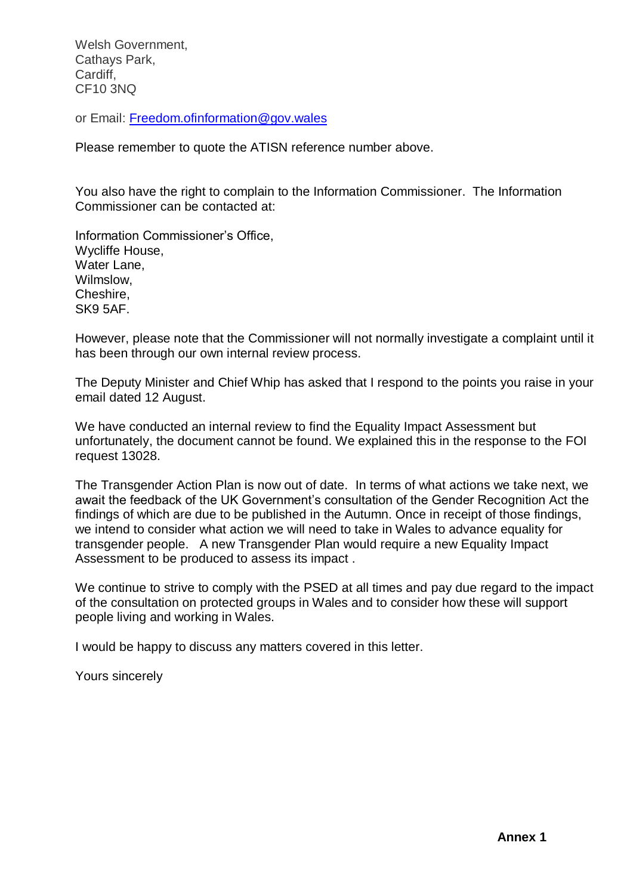Welsh Government, Cathays Park, Cardiff, CF10 3NQ

or Email: [Freedom.ofinformation@gov.wales](mailto:Freedom.ofinformation@gov.wales)

Please remember to quote the ATISN reference number above.

You also have the right to complain to the Information Commissioner. The Information Commissioner can be contacted at:

Information Commissioner's Office, Wycliffe House, Water Lane, Wilmslow, Cheshire, SK9 5AF.

However, please note that the Commissioner will not normally investigate a complaint until it has been through our own internal review process.

The Deputy Minister and Chief Whip has asked that I respond to the points you raise in your email dated 12 August.

We have conducted an internal review to find the Equality Impact Assessment but unfortunately, the document cannot be found. We explained this in the response to the FOI request 13028.

The Transgender Action Plan is now out of date. In terms of what actions we take next, we await the feedback of the UK Government's consultation of the Gender Recognition Act the findings of which are due to be published in the Autumn. Once in receipt of those findings, we intend to consider what action we will need to take in Wales to advance equality for transgender people. A new Transgender Plan would require a new Equality Impact Assessment to be produced to assess its impact .

We continue to strive to comply with the PSED at all times and pay due regard to the impact of the consultation on protected groups in Wales and to consider how these will support people living and working in Wales.

I would be happy to discuss any matters covered in this letter.

Yours sincerely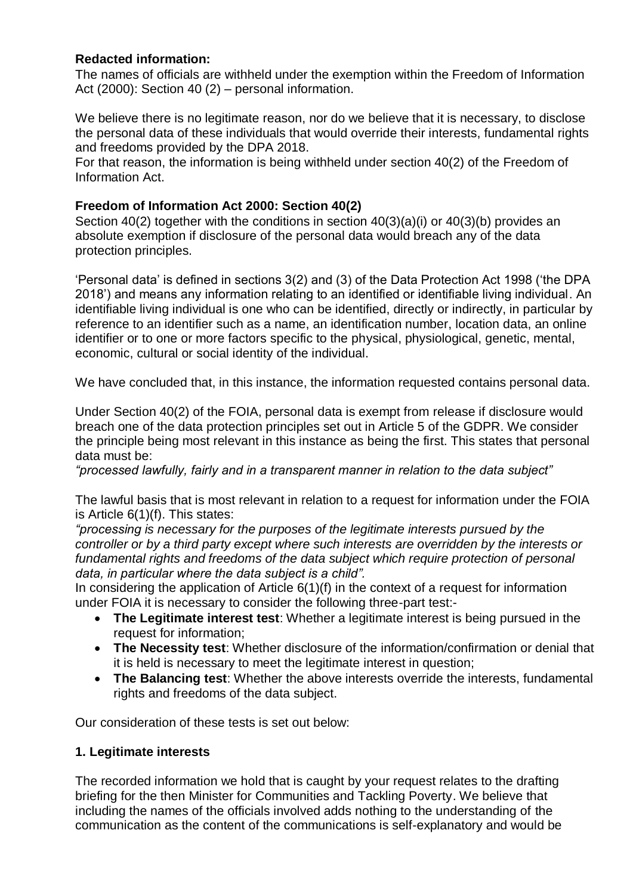# **Redacted information:**

The names of officials are withheld under the exemption within the Freedom of Information Act (2000): Section 40 (2) – personal information.

We believe there is no legitimate reason, nor do we believe that it is necessary, to disclose the personal data of these individuals that would override their interests, fundamental rights and freedoms provided by the DPA 2018.

For that reason, the information is being withheld under section 40(2) of the Freedom of Information Act.

### **Freedom of Information Act 2000: Section 40(2)**

Section 40(2) together with the conditions in section 40(3)(a)(i) or 40(3)(b) provides an absolute exemption if disclosure of the personal data would breach any of the data protection principles.

'Personal data' is defined in sections 3(2) and (3) of the Data Protection Act 1998 ('the DPA 2018') and means any information relating to an identified or identifiable living individual. An identifiable living individual is one who can be identified, directly or indirectly, in particular by reference to an identifier such as a name, an identification number, location data, an online identifier or to one or more factors specific to the physical, physiological, genetic, mental, economic, cultural or social identity of the individual.

We have concluded that, in this instance, the information requested contains personal data.

Under Section 40(2) of the FOIA, personal data is exempt from release if disclosure would breach one of the data protection principles set out in Article 5 of the GDPR. We consider the principle being most relevant in this instance as being the first. This states that personal data must be:

*"processed lawfully, fairly and in a transparent manner in relation to the data subject"* 

The lawful basis that is most relevant in relation to a request for information under the FOIA is Article 6(1)(f). This states:

*"processing is necessary for the purposes of the legitimate interests pursued by the controller or by a third party except where such interests are overridden by the interests or fundamental rights and freedoms of the data subject which require protection of personal data, in particular where the data subject is a child".* 

In considering the application of Article 6(1)(f) in the context of a request for information under FOIA it is necessary to consider the following three-part test:-

- **The Legitimate interest test**: Whether a legitimate interest is being pursued in the request for information;
- **The Necessity test**: Whether disclosure of the information/confirmation or denial that it is held is necessary to meet the legitimate interest in question;
- **The Balancing test**: Whether the above interests override the interests, fundamental rights and freedoms of the data subject.

Our consideration of these tests is set out below:

#### **1. Legitimate interests**

The recorded information we hold that is caught by your request relates to the drafting briefing for the then Minister for Communities and Tackling Poverty. We believe that including the names of the officials involved adds nothing to the understanding of the communication as the content of the communications is self-explanatory and would be